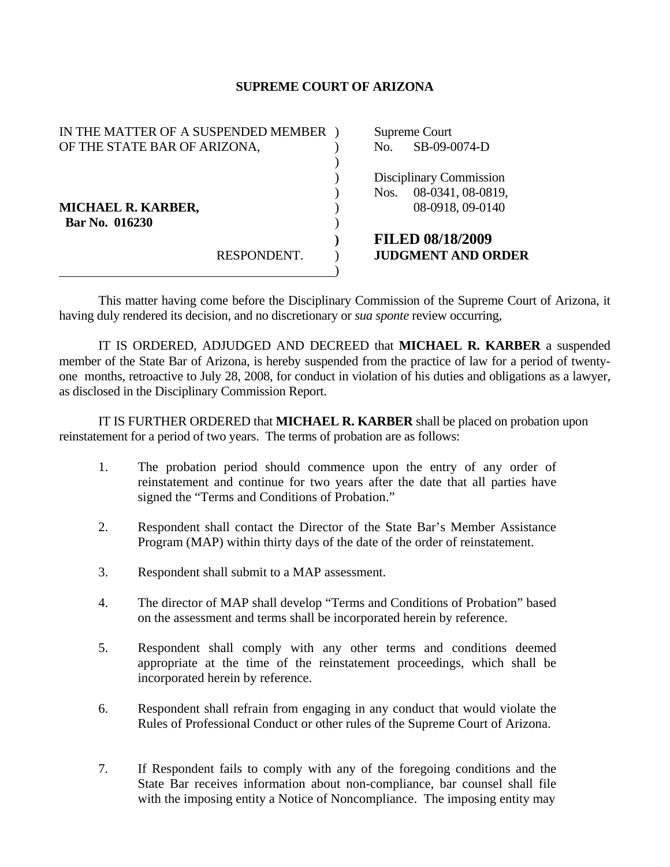## **SUPREME COURT OF ARIZONA**

| IN THE MATTER OF A SUSPENDED MEMBER |             |                         | Supreme Court             |  |
|-------------------------------------|-------------|-------------------------|---------------------------|--|
| OF THE STATE BAR OF ARIZONA,        |             | No.                     | SB-09-0074-D              |  |
|                                     |             |                         |                           |  |
|                                     |             | Disciplinary Commission |                           |  |
|                                     |             | Nos.                    | 08-0341, 08-0819,         |  |
| MICHAEL R. KARBER,                  |             |                         | 08-0918, 09-0140          |  |
| Bar No. 016230                      |             |                         |                           |  |
|                                     |             |                         | <b>FILED 08/18/2009</b>   |  |
|                                     | RESPONDENT. |                         | <b>JUDGMENT AND ORDER</b> |  |
|                                     |             |                         |                           |  |

 This matter having come before the Disciplinary Commission of the Supreme Court of Arizona, it having duly rendered its decision, and no discretionary or *sua sponte* review occurring,

 IT IS ORDERED, ADJUDGED AND DECREED that **MICHAEL R. KARBER** a suspended member of the State Bar of Arizona, is hereby suspended from the practice of law for a period of twentyone months, retroactive to July 28, 2008, for conduct in violation of his duties and obligations as a lawyer, as disclosed in the Disciplinary Commission Report.

 IT IS FURTHER ORDERED that **MICHAEL R. KARBER** shall be placed on probation upon reinstatement for a period of two years. The terms of probation are as follows:

- 1. The probation period should commence upon the entry of any order of reinstatement and continue for two years after the date that all parties have signed the "Terms and Conditions of Probation."
- 2. Respondent shall contact the Director of the State Bar's Member Assistance Program (MAP) within thirty days of the date of the order of reinstatement.
- 3. Respondent shall submit to a MAP assessment.
- 4. The director of MAP shall develop "Terms and Conditions of Probation" based on the assessment and terms shall be incorporated herein by reference.
- 5. Respondent shall comply with any other terms and conditions deemed appropriate at the time of the reinstatement proceedings, which shall be incorporated herein by reference.
- 6. Respondent shall refrain from engaging in any conduct that would violate the Rules of Professional Conduct or other rules of the Supreme Court of Arizona.
- 7. If Respondent fails to comply with any of the foregoing conditions and the State Bar receives information about non-compliance, bar counsel shall file with the imposing entity a Notice of Noncompliance. The imposing entity may